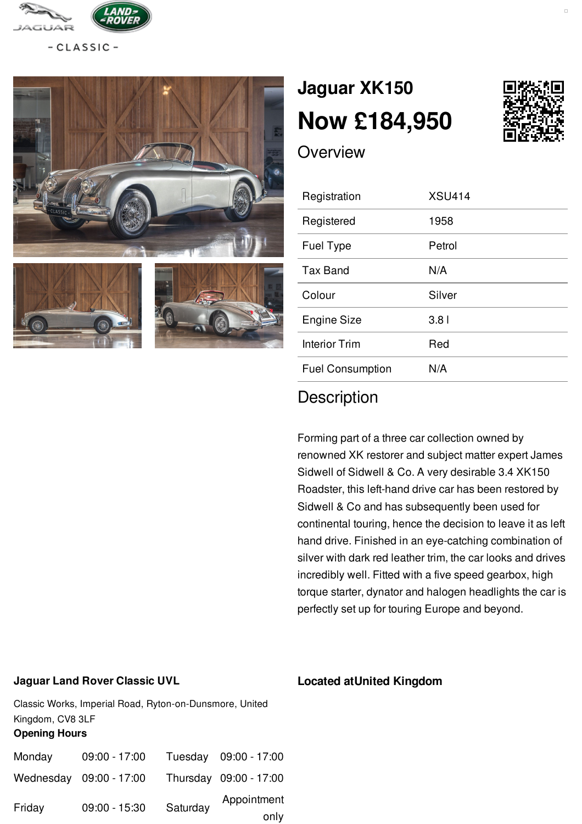

 $-CLASSIC -$ 



# **[Jaguar](/jaguar/pdf/) XK150 Now [£184,950](/jaguar/pdf/)**



**Overview** 

| Registration            | <b>XSU414</b>    |
|-------------------------|------------------|
| Registered              | 1958             |
| <b>Fuel Type</b>        | Petrol           |
| <b>Tax Band</b>         | N/A              |
| Colour                  | Silver           |
| Engine Size             | 3.8 <sub>1</sub> |
| Interior Trim           | Red              |
| <b>Fuel Consumption</b> | N/A              |

## **Description**

Forming part of a three car collection owned by renowned XK restorer and subject matter expert James Sidwell of Sidwell & Co. A very desirable 3.4 XK150 Roadster, this left-hand drive car has been restored by Sidwell & Co and has subsequently been used for continental touring, hence the decision to leave it as left hand drive. Finished in an eye-catching combination of silver with dark red leather trim, the car looks and drives incredibly well. Fitted with a five speed gearbox, high torque starter, dynator and halogen headlights the car is perfectly set up for touring Europe and beyond.

#### **Jaguar Land Rover Classic UVL**

Classic Works, Imperial Road, Ryton-on-Dunsmore, United Kingdom, CV8 3LF **Opening Hours**

| Monday | $09:00 - 17:00$         |          | Tuesday 09:00 - 17:00  |
|--------|-------------------------|----------|------------------------|
|        | Wednesday 09:00 - 17:00 |          | Thursday 09:00 - 17:00 |
| Friday | 09:00 - 15:30           | Saturday | Appointment            |
|        |                         |          | only                   |

#### **Located atUnited Kingdom**